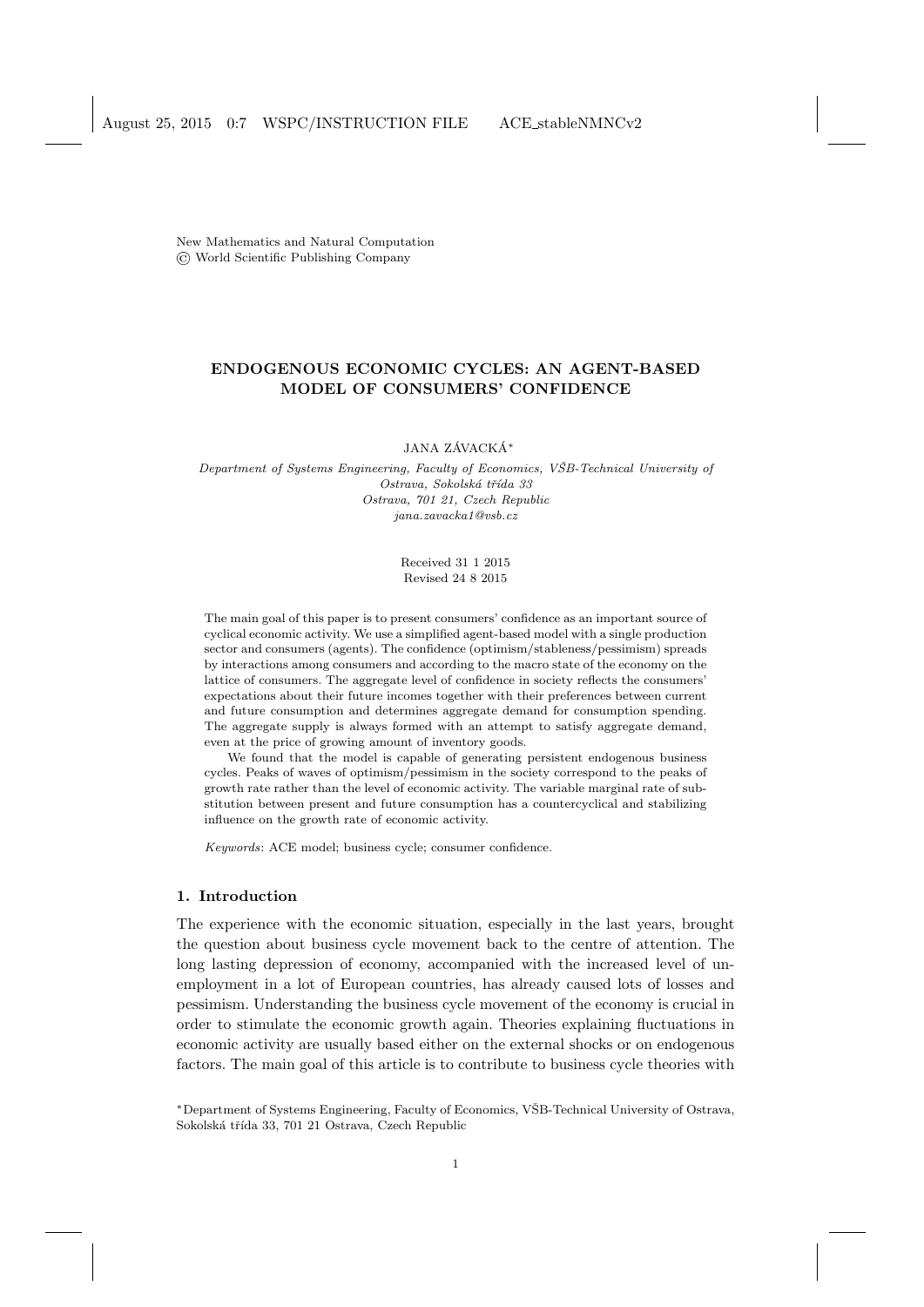New Mathematics and Natural Computation © World Scientific Publishing Company

# ENDOGENOUS ECONOMIC CYCLES: AN AGENT-BASED MODEL OF CONSUMERS' CONFIDENCE

### JANA ZÁVACKÁ $^\ast$

Department of Systems Engineering, Faculty of Economics, VŠB-Technical University of Ostrava, Sokolská třída 33 Ostrava, 701 21, Czech Republic jana.zavacka1@vsb.cz

> Received 31 1 2015 Revised 24 8 2015

The main goal of this paper is to present consumers' confidence as an important source of cyclical economic activity. We use a simplified agent-based model with a single production sector and consumers (agents). The confidence (optimism/stableness/pessimism) spreads by interactions among consumers and according to the macro state of the economy on the lattice of consumers. The aggregate level of confidence in society reflects the consumers' expectations about their future incomes together with their preferences between current and future consumption and determines aggregate demand for consumption spending. The aggregate supply is always formed with an attempt to satisfy aggregate demand, even at the price of growing amount of inventory goods.

We found that the model is capable of generating persistent endogenous business cycles. Peaks of waves of optimism/pessimism in the society correspond to the peaks of growth rate rather than the level of economic activity. The variable marginal rate of substitution between present and future consumption has a countercyclical and stabilizing influence on the growth rate of economic activity.

Keywords: ACE model; business cycle; consumer confidence.

### 1. Introduction

The experience with the economic situation, especially in the last years, brought the question about business cycle movement back to the centre of attention. The long lasting depression of economy, accompanied with the increased level of unemployment in a lot of European countries, has already caused lots of losses and pessimism. Understanding the business cycle movement of the economy is crucial in order to stimulate the economic growth again. Theories explaining fluctuations in economic activity are usually based either on the external shocks or on endogenous factors. The main goal of this article is to contribute to business cycle theories with

<sup>∗</sup>Department of Systems Engineering, Faculty of Economics, VSB-Technical University of Ostrava, ˇ Sokolská třída 33, 701 21 Ostrava, Czech Republic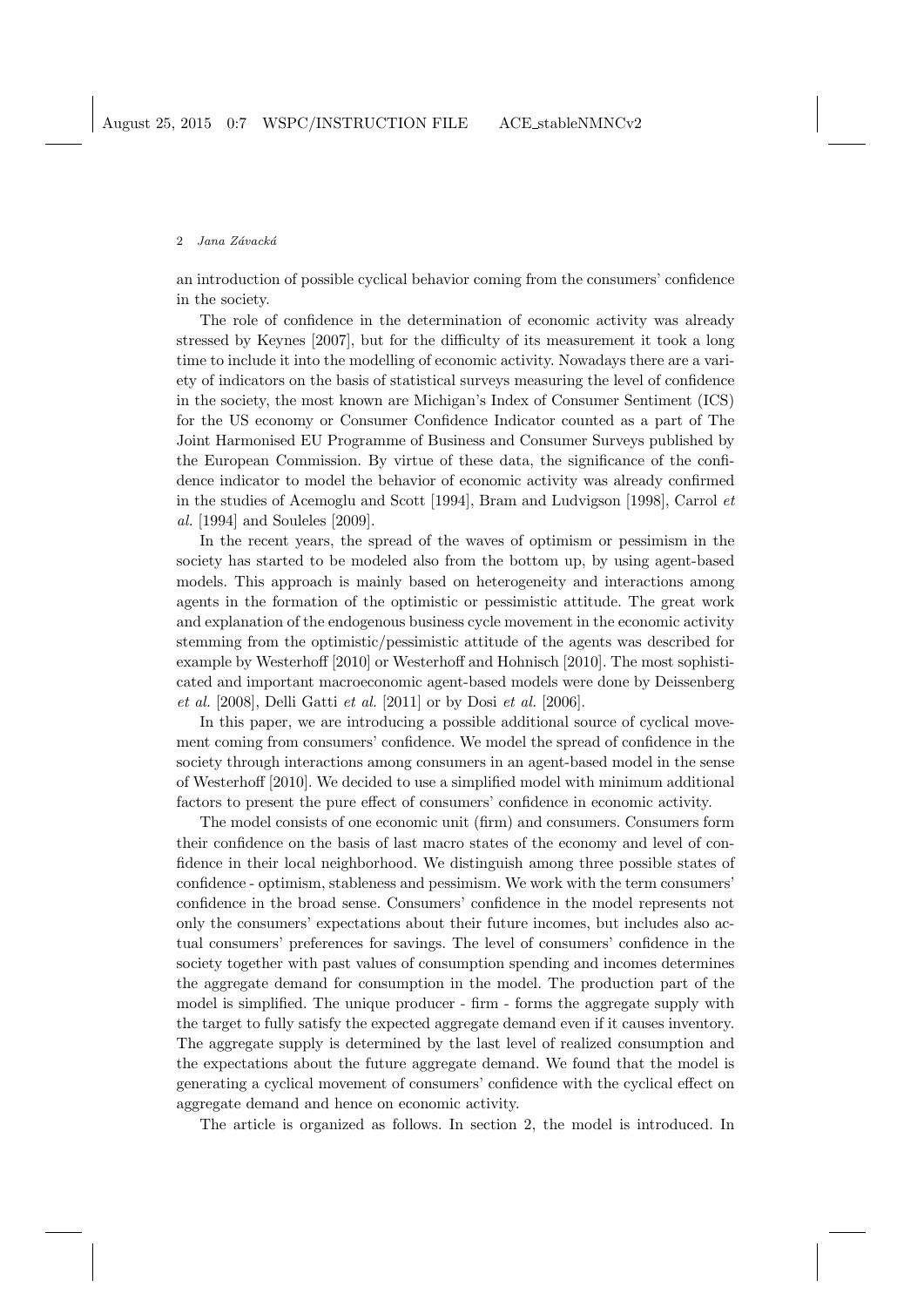an introduction of possible cyclical behavior coming from the consumers' confidence in the society.

The role of confidence in the determination of economic activity was already stressed by Keynes [2007], but for the difficulty of its measurement it took a long time to include it into the modelling of economic activity. Nowadays there are a variety of indicators on the basis of statistical surveys measuring the level of confidence in the society, the most known are Michigan's Index of Consumer Sentiment (ICS) for the US economy or Consumer Confidence Indicator counted as a part of The Joint Harmonised EU Programme of Business and Consumer Surveys published by the European Commission. By virtue of these data, the significance of the confidence indicator to model the behavior of economic activity was already confirmed in the studies of Acemoglu and Scott [1994], Bram and Ludvigson [1998], Carrol et al. [1994] and Souleles [2009].

In the recent years, the spread of the waves of optimism or pessimism in the society has started to be modeled also from the bottom up, by using agent-based models. This approach is mainly based on heterogeneity and interactions among agents in the formation of the optimistic or pessimistic attitude. The great work and explanation of the endogenous business cycle movement in the economic activity stemming from the optimistic/pessimistic attitude of the agents was described for example by Westerhoff [2010] or Westerhoff and Hohnisch [2010]. The most sophisticated and important macroeconomic agent-based models were done by Deissenberg et al. [2008], Delli Gatti et al. [2011] or by Dosi et al. [2006].

In this paper, we are introducing a possible additional source of cyclical movement coming from consumers' confidence. We model the spread of confidence in the society through interactions among consumers in an agent-based model in the sense of Westerhoff [2010]. We decided to use a simplified model with minimum additional factors to present the pure effect of consumers' confidence in economic activity.

The model consists of one economic unit (firm) and consumers. Consumers form their confidence on the basis of last macro states of the economy and level of confidence in their local neighborhood. We distinguish among three possible states of confidence - optimism, stableness and pessimism. We work with the term consumers' confidence in the broad sense. Consumers' confidence in the model represents not only the consumers' expectations about their future incomes, but includes also actual consumers' preferences for savings. The level of consumers' confidence in the society together with past values of consumption spending and incomes determines the aggregate demand for consumption in the model. The production part of the model is simplified. The unique producer - firm - forms the aggregate supply with the target to fully satisfy the expected aggregate demand even if it causes inventory. The aggregate supply is determined by the last level of realized consumption and the expectations about the future aggregate demand. We found that the model is generating a cyclical movement of consumers' confidence with the cyclical effect on aggregate demand and hence on economic activity.

The article is organized as follows. In section 2, the model is introduced. In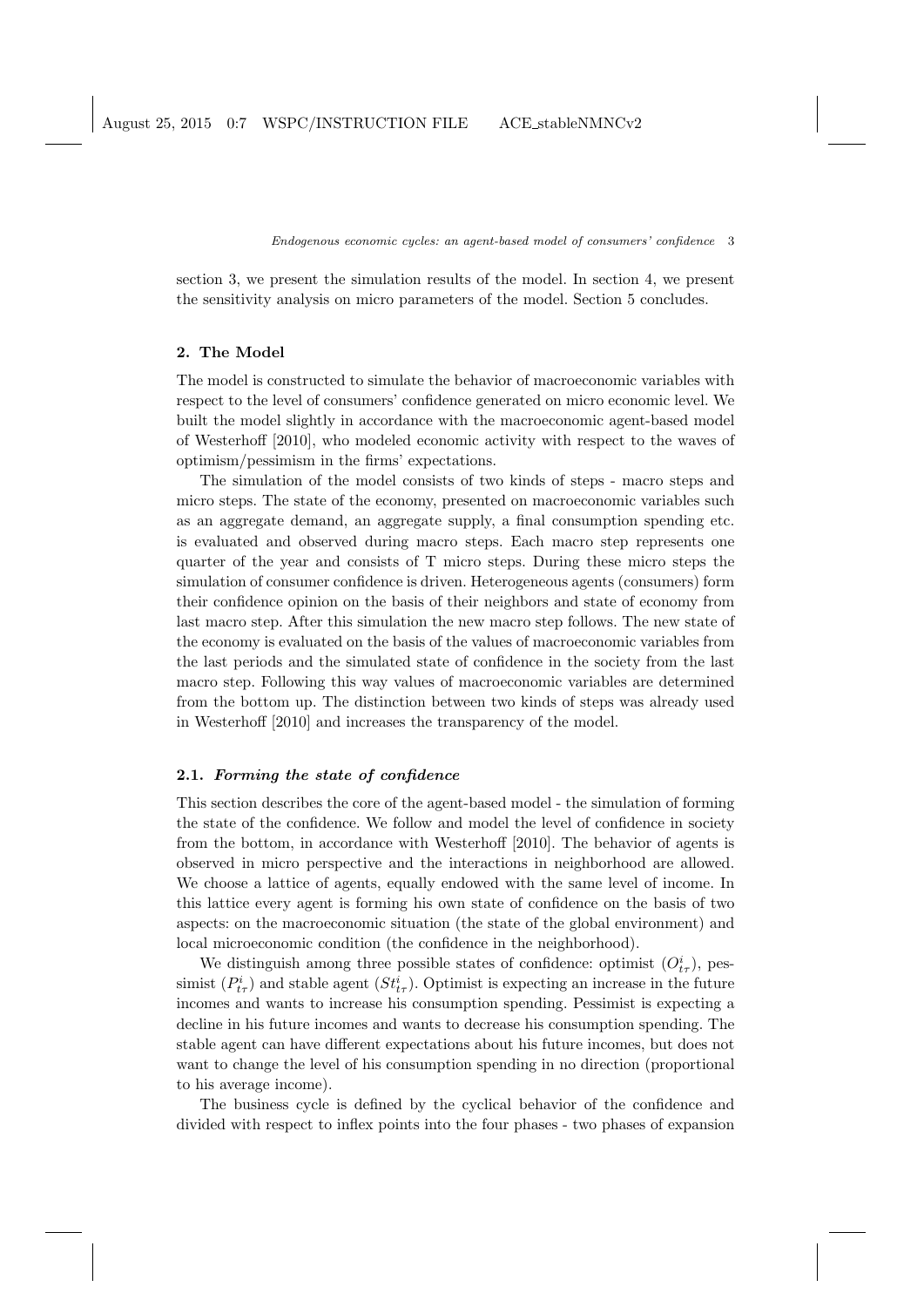section 3, we present the simulation results of the model. In section 4, we present the sensitivity analysis on micro parameters of the model. Section 5 concludes.

# 2. The Model

The model is constructed to simulate the behavior of macroeconomic variables with respect to the level of consumers' confidence generated on micro economic level. We built the model slightly in accordance with the macroeconomic agent-based model of Westerhoff [2010], who modeled economic activity with respect to the waves of optimism/pessimism in the firms' expectations.

The simulation of the model consists of two kinds of steps - macro steps and micro steps. The state of the economy, presented on macroeconomic variables such as an aggregate demand, an aggregate supply, a final consumption spending etc. is evaluated and observed during macro steps. Each macro step represents one quarter of the year and consists of T micro steps. During these micro steps the simulation of consumer confidence is driven. Heterogeneous agents (consumers) form their confidence opinion on the basis of their neighbors and state of economy from last macro step. After this simulation the new macro step follows. The new state of the economy is evaluated on the basis of the values of macroeconomic variables from the last periods and the simulated state of confidence in the society from the last macro step. Following this way values of macroeconomic variables are determined from the bottom up. The distinction between two kinds of steps was already used in Westerhoff [2010] and increases the transparency of the model.

## 2.1. Forming the state of confidence

This section describes the core of the agent-based model - the simulation of forming the state of the confidence. We follow and model the level of confidence in society from the bottom, in accordance with Westerhoff [2010]. The behavior of agents is observed in micro perspective and the interactions in neighborhood are allowed. We choose a lattice of agents, equally endowed with the same level of income. In this lattice every agent is forming his own state of confidence on the basis of two aspects: on the macroeconomic situation (the state of the global environment) and local microeconomic condition (the confidence in the neighborhood).

We distinguish among three possible states of confidence: optimist  $(O_{t\tau}^i)$ , pessimist  $(P_{t\tau}^i)$  and stable agent  $(St_{t\tau}^i)$ . Optimist is expecting an increase in the future incomes and wants to increase his consumption spending. Pessimist is expecting a decline in his future incomes and wants to decrease his consumption spending. The stable agent can have different expectations about his future incomes, but does not want to change the level of his consumption spending in no direction (proportional to his average income).

The business cycle is defined by the cyclical behavior of the confidence and divided with respect to inflex points into the four phases - two phases of expansion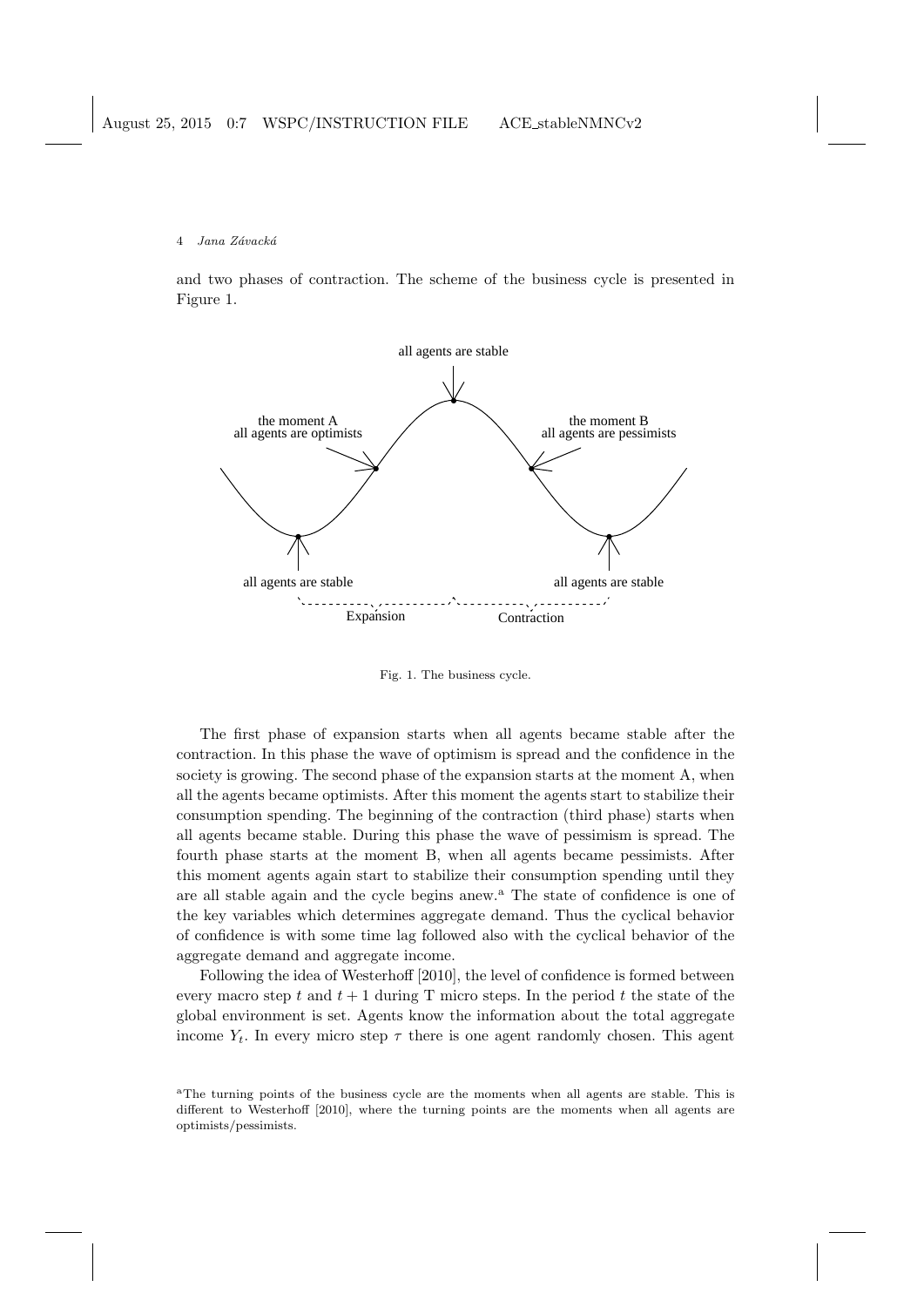and two phases of contraction. The scheme of the business cycle is presented in Figure 1.



Fig. 1. The business cycle.

The first phase of expansion starts when all agents became stable after the contraction. In this phase the wave of optimism is spread and the confidence in the society is growing. The second phase of the expansion starts at the moment A, when all the agents became optimists. After this moment the agents start to stabilize their consumption spending. The beginning of the contraction (third phase) starts when all agents became stable. During this phase the wave of pessimism is spread. The fourth phase starts at the moment B, when all agents became pessimists. After this moment agents again start to stabilize their consumption spending until they are all stable again and the cycle begins anew.<sup>a</sup> The state of confidence is one of the key variables which determines aggregate demand. Thus the cyclical behavior of confidence is with some time lag followed also with the cyclical behavior of the aggregate demand and aggregate income.

Following the idea of Westerhoff [2010], the level of confidence is formed between every macro step t and  $t + 1$  during T micro steps. In the period t the state of the global environment is set. Agents know the information about the total aggregate income  $Y_t$ . In every micro step  $\tau$  there is one agent randomly chosen. This agent

<sup>a</sup>The turning points of the business cycle are the moments when all agents are stable. This is different to Westerhoff [2010], where the turning points are the moments when all agents are optimists/pessimists.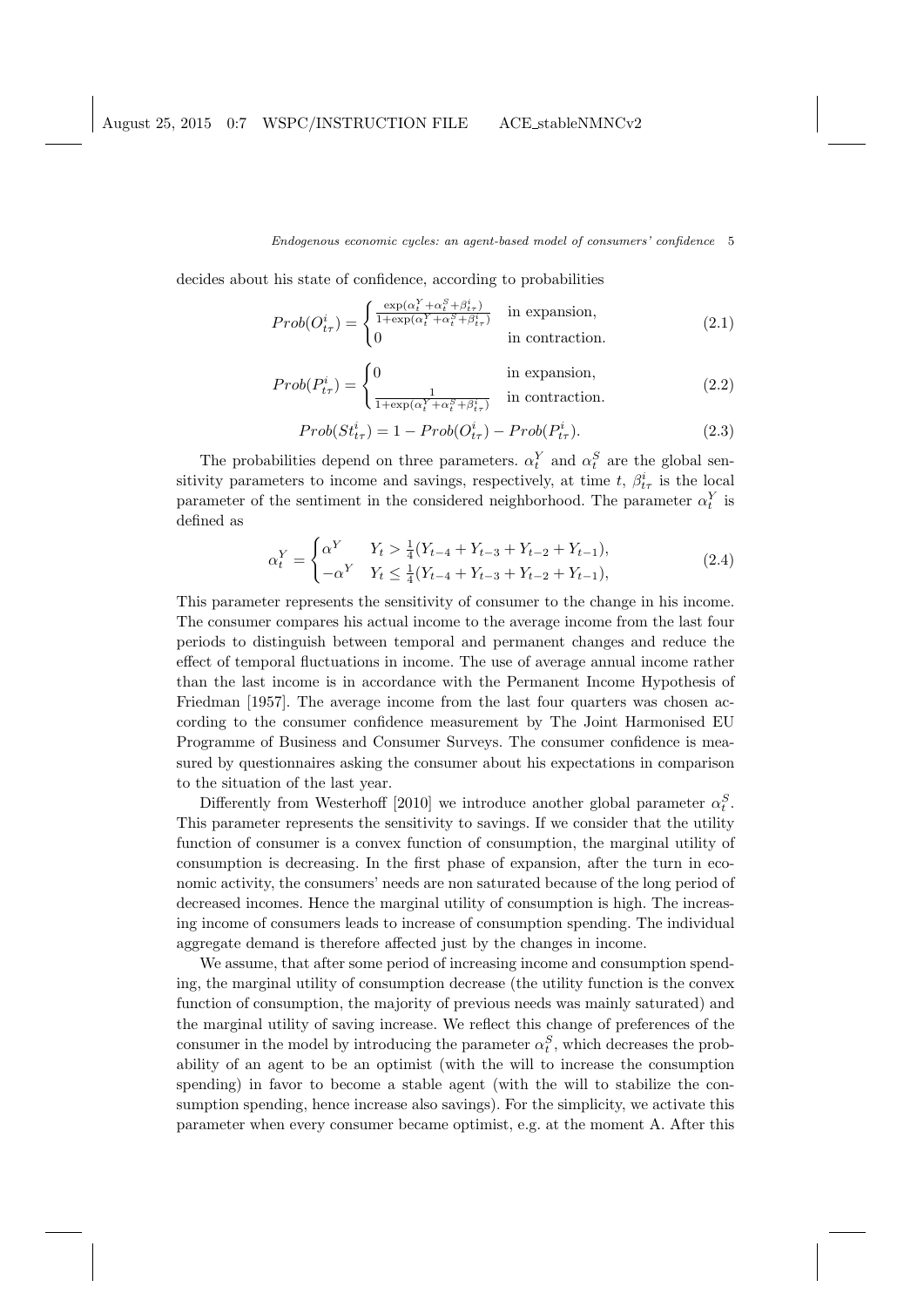decides about his state of confidence, according to probabilities

$$
Prob(O_{t\tau}^{i}) = \begin{cases} \frac{\exp(\alpha_{t}^{Y} + \alpha_{t}^{S} + \beta_{t\tau}^{i})}{1 + \exp(\alpha_{t}^{Y} + \alpha_{t}^{S} + \beta_{t\tau}^{i})} & \text{in expansion,} \\ 0 & \text{in contraction.} \end{cases}
$$
(2.1)

$$
Prob(P_{t\tau}^{i}) = \begin{cases} 0 & \text{in expansion,} \\ \frac{1}{1 + \exp(\alpha_t^Y + \alpha_t^S + \beta_{t\tau}^i)} & \text{in contraction.} \end{cases}
$$
(2.2)

$$
Prob(St_{t\tau}^i) = 1 - Prob(O_{t\tau}^i) - Prob(P_{t\tau}^i). \tag{2.3}
$$

The probabilities depend on three parameters.  $\alpha_t^Y$  and  $\alpha_t^S$  are the global sensitivity parameters to income and savings, respectively, at time t,  $\beta_{t\tau}^{i}$  is the local parameter of the sentiment in the considered neighborhood. The parameter  $\alpha_t^Y$  is defined as

$$
\alpha_t^Y = \begin{cases} \alpha^Y & Y_t > \frac{1}{4}(Y_{t-4} + Y_{t-3} + Y_{t-2} + Y_{t-1}), \\ -\alpha^Y & Y_t \le \frac{1}{4}(Y_{t-4} + Y_{t-3} + Y_{t-2} + Y_{t-1}), \end{cases}
$$
(2.4)

This parameter represents the sensitivity of consumer to the change in his income. The consumer compares his actual income to the average income from the last four periods to distinguish between temporal and permanent changes and reduce the effect of temporal fluctuations in income. The use of average annual income rather than the last income is in accordance with the Permanent Income Hypothesis of Friedman [1957]. The average income from the last four quarters was chosen according to the consumer confidence measurement by The Joint Harmonised EU Programme of Business and Consumer Surveys. The consumer confidence is measured by questionnaires asking the consumer about his expectations in comparison to the situation of the last year.

Differently from Westerhoff [2010] we introduce another global parameter  $\alpha_t^S$ . This parameter represents the sensitivity to savings. If we consider that the utility function of consumer is a convex function of consumption, the marginal utility of consumption is decreasing. In the first phase of expansion, after the turn in economic activity, the consumers' needs are non saturated because of the long period of decreased incomes. Hence the marginal utility of consumption is high. The increasing income of consumers leads to increase of consumption spending. The individual aggregate demand is therefore affected just by the changes in income.

We assume, that after some period of increasing income and consumption spending, the marginal utility of consumption decrease (the utility function is the convex function of consumption, the majority of previous needs was mainly saturated) and the marginal utility of saving increase. We reflect this change of preferences of the consumer in the model by introducing the parameter  $\alpha_t^S$ , which decreases the probability of an agent to be an optimist (with the will to increase the consumption spending) in favor to become a stable agent (with the will to stabilize the consumption spending, hence increase also savings). For the simplicity, we activate this parameter when every consumer became optimist, e.g. at the moment A. After this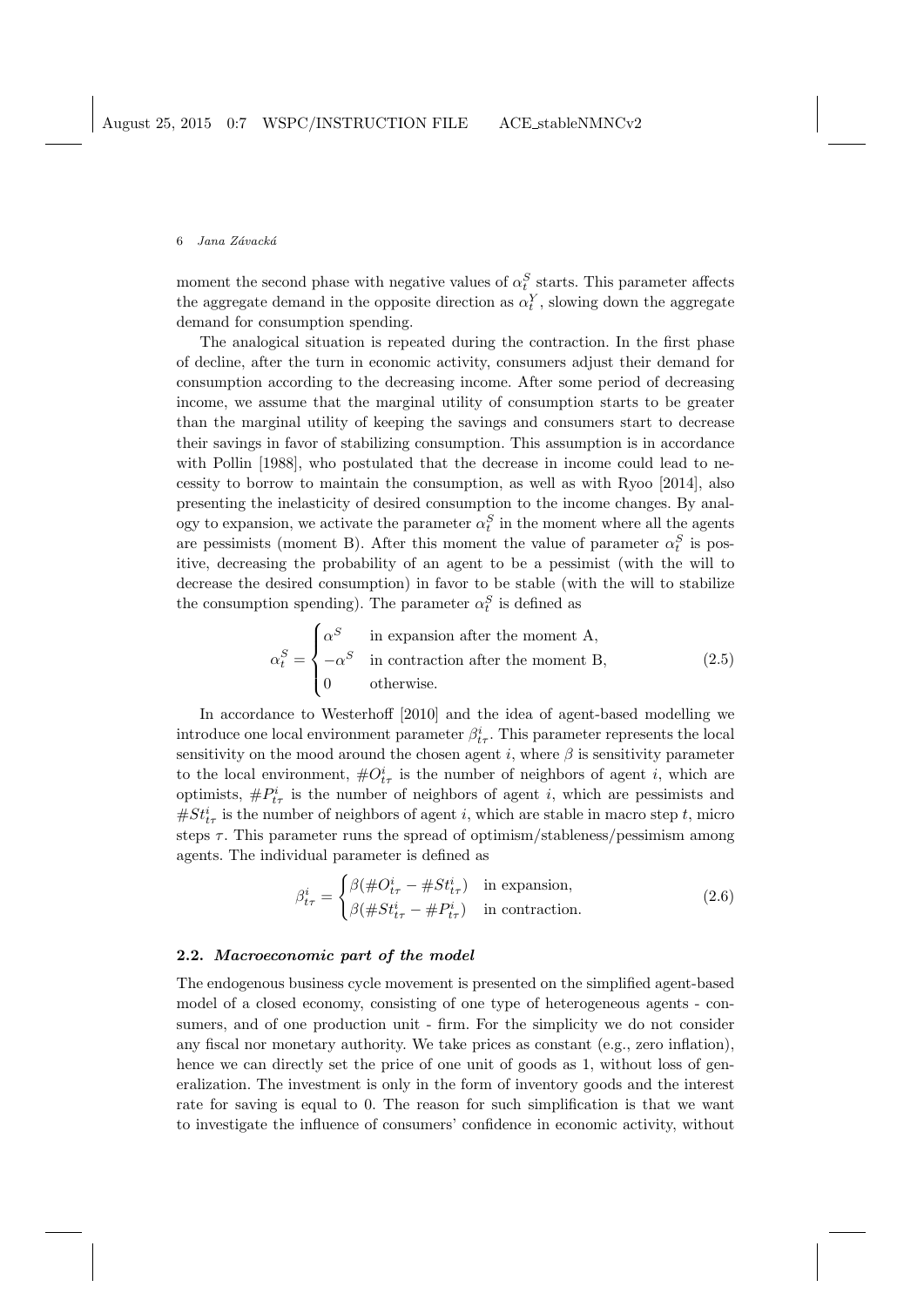moment the second phase with negative values of  $\alpha_t^S$  starts. This parameter affects the aggregate demand in the opposite direction as  $\alpha_t^Y$ , slowing down the aggregate demand for consumption spending.

The analogical situation is repeated during the contraction. In the first phase of decline, after the turn in economic activity, consumers adjust their demand for consumption according to the decreasing income. After some period of decreasing income, we assume that the marginal utility of consumption starts to be greater than the marginal utility of keeping the savings and consumers start to decrease their savings in favor of stabilizing consumption. This assumption is in accordance with Pollin [1988], who postulated that the decrease in income could lead to necessity to borrow to maintain the consumption, as well as with Ryoo [2014], also presenting the inelasticity of desired consumption to the income changes. By analogy to expansion, we activate the parameter  $\alpha_t^S$  in the moment where all the agents are pessimists (moment B). After this moment the value of parameter  $\alpha_t^S$  is positive, decreasing the probability of an agent to be a pessimist (with the will to decrease the desired consumption) in favor to be stable (with the will to stabilize the consumption spending). The parameter  $\alpha_t^S$  is defined as

$$
\alpha_t^S = \begin{cases}\n\alpha^S & \text{in expansion after the moment A,} \\
-\alpha^S & \text{in contraction after the moment B,} \\
0 & \text{otherwise.} \n\end{cases}
$$
\n(2.5)

In accordance to Westerhoff [2010] and the idea of agent-based modelling we introduce one local environment parameter  $\beta_{tr}^i$ . This parameter represents the local sensitivity on the mood around the chosen agent i, where  $\beta$  is sensitivity parameter to the local environment,  $\#O_{t\tau}^i$  is the number of neighbors of agent i, which are optimists,  $\#P_{t\tau}^i$  is the number of neighbors of agent i, which are pessimists and  $#St<sup>i</sup><sub>t</sub>$  is the number of neighbors of agent *i*, which are stable in macro step *t*, micro steps  $\tau$ . This parameter runs the spread of optimism/stableness/pessimism among agents. The individual parameter is defined as

$$
\beta_{t\tau}^{i} = \begin{cases} \beta(\#O_{t\tau}^{i} - \# St_{t\tau}^{i}) & \text{in expansion,} \\ \beta(\# St_{t\tau}^{i} - \# P_{t\tau}^{i}) & \text{in contraction.} \end{cases}
$$
 (2.6)

### 2.2. Macroeconomic part of the model

The endogenous business cycle movement is presented on the simplified agent-based model of a closed economy, consisting of one type of heterogeneous agents - consumers, and of one production unit - firm. For the simplicity we do not consider any fiscal nor monetary authority. We take prices as constant (e.g., zero inflation), hence we can directly set the price of one unit of goods as 1, without loss of generalization. The investment is only in the form of inventory goods and the interest rate for saving is equal to 0. The reason for such simplification is that we want to investigate the influence of consumers' confidence in economic activity, without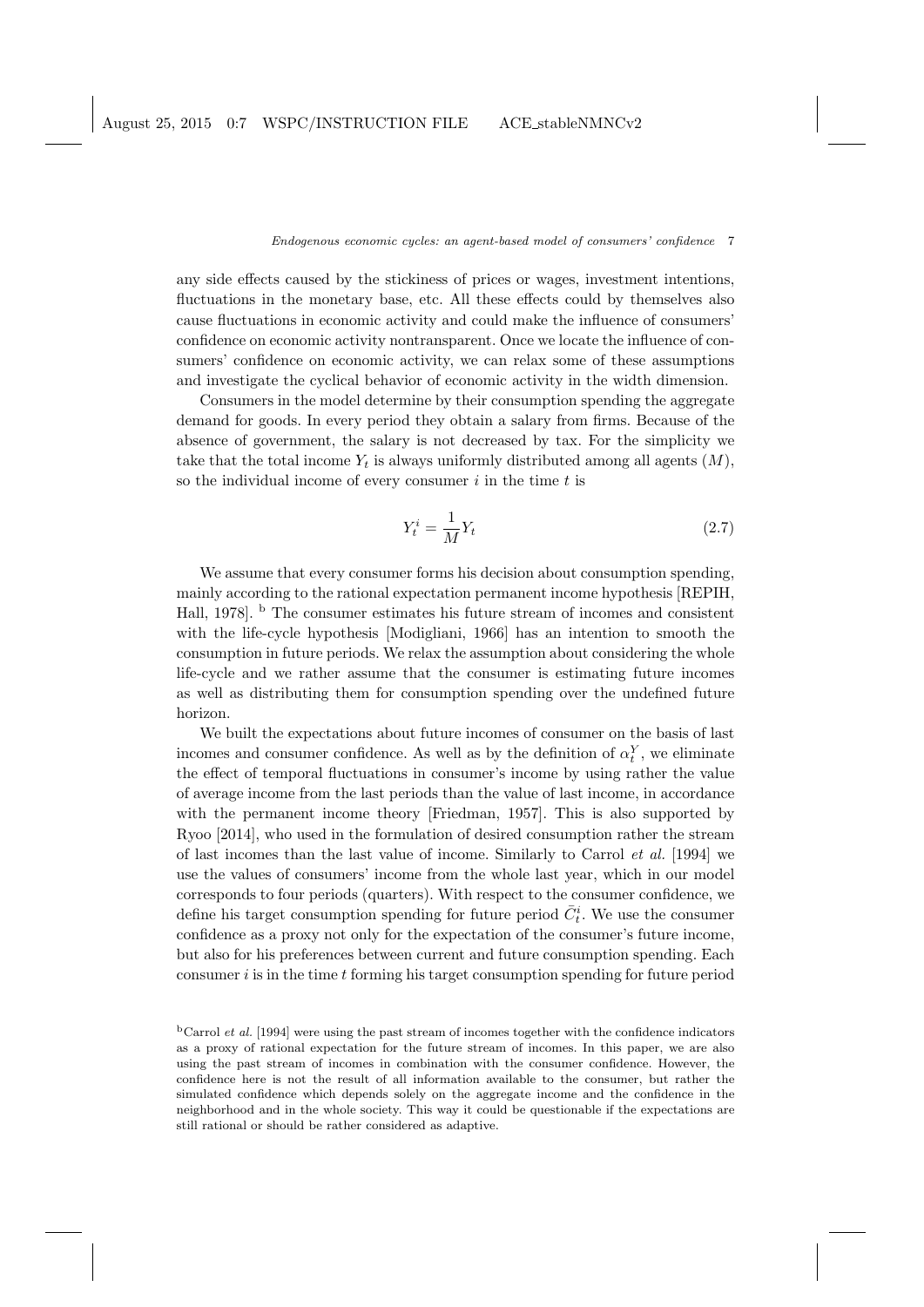any side effects caused by the stickiness of prices or wages, investment intentions, fluctuations in the monetary base, etc. All these effects could by themselves also cause fluctuations in economic activity and could make the influence of consumers' confidence on economic activity nontransparent. Once we locate the influence of consumers' confidence on economic activity, we can relax some of these assumptions and investigate the cyclical behavior of economic activity in the width dimension.

Consumers in the model determine by their consumption spending the aggregate demand for goods. In every period they obtain a salary from firms. Because of the absence of government, the salary is not decreased by tax. For the simplicity we take that the total income  $Y_t$  is always uniformly distributed among all agents  $(M)$ , so the individual income of every consumer  $i$  in the time  $t$  is

$$
Y_t^i = \frac{1}{M} Y_t \tag{2.7}
$$

We assume that every consumer forms his decision about consumption spending, mainly according to the rational expectation permanent income hypothesis [REPIH, Hall, 1978]. <sup>b</sup> The consumer estimates his future stream of incomes and consistent with the life-cycle hypothesis [Modigliani, 1966] has an intention to smooth the consumption in future periods. We relax the assumption about considering the whole life-cycle and we rather assume that the consumer is estimating future incomes as well as distributing them for consumption spending over the undefined future horizon.

We built the expectations about future incomes of consumer on the basis of last incomes and consumer confidence. As well as by the definition of  $\alpha_t^Y$ , we eliminate the effect of temporal fluctuations in consumer's income by using rather the value of average income from the last periods than the value of last income, in accordance with the permanent income theory [Friedman, 1957]. This is also supported by Ryoo [2014], who used in the formulation of desired consumption rather the stream of last incomes than the last value of income. Similarly to Carrol et al. [1994] we use the values of consumers' income from the whole last year, which in our model corresponds to four periods (quarters). With respect to the consumer confidence, we define his target consumption spending for future period  $\bar{C}_t^i$ . We use the consumer confidence as a proxy not only for the expectation of the consumer's future income, but also for his preferences between current and future consumption spending. Each consumer  $i$  is in the time  $t$  forming his target consumption spending for future period

 $<sup>b</sup>$ Carrol *et al.* [1994] were using the past stream of incomes together with the confidence indicators</sup> as a proxy of rational expectation for the future stream of incomes. In this paper, we are also using the past stream of incomes in combination with the consumer confidence. However, the confidence here is not the result of all information available to the consumer, but rather the simulated confidence which depends solely on the aggregate income and the confidence in the neighborhood and in the whole society. This way it could be questionable if the expectations are still rational or should be rather considered as adaptive.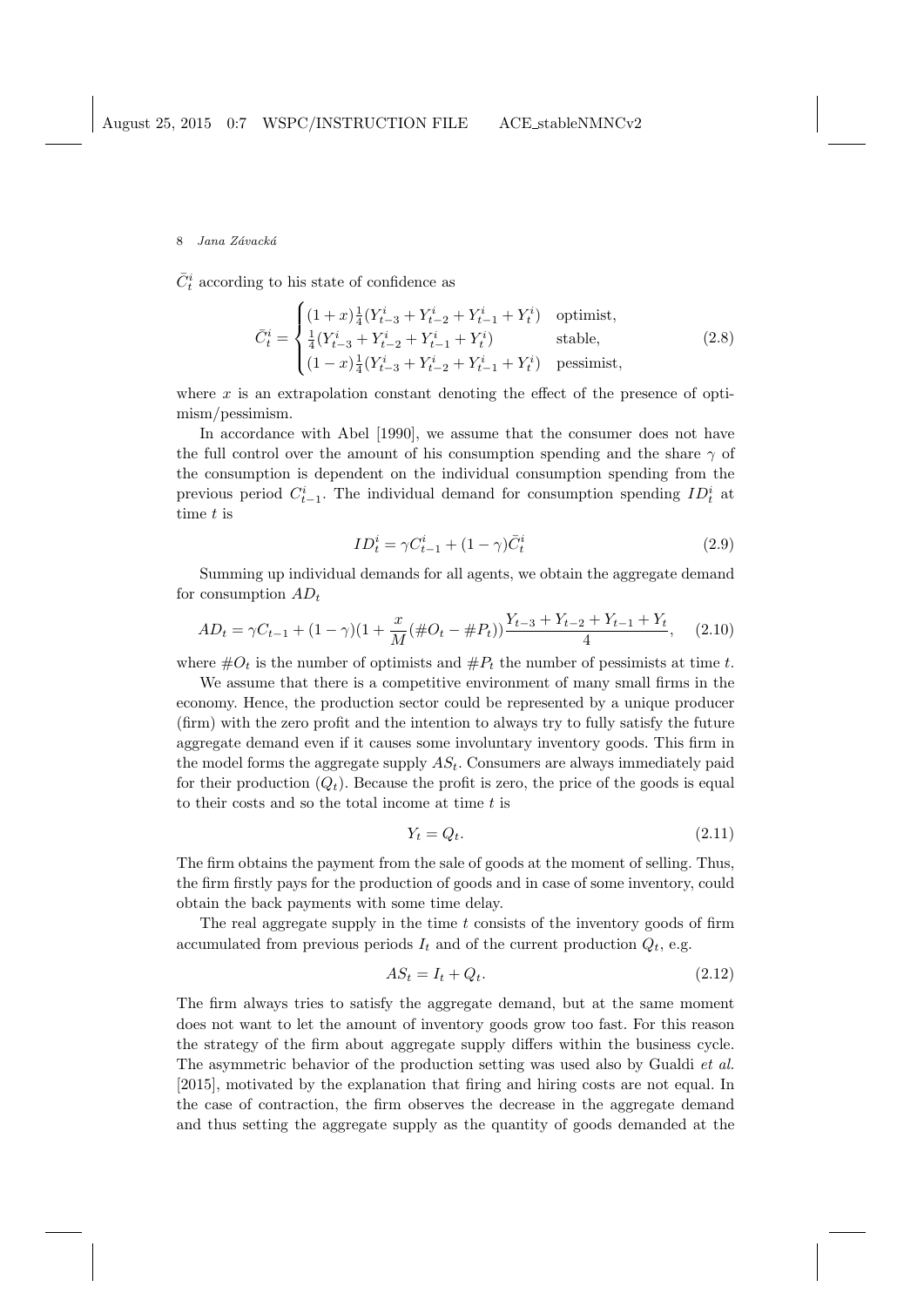$\bar{C}_t^i$  according to his state of confidence as

$$
\bar{C}_t^i = \begin{cases}\n(1+x)\frac{1}{4}(Y_{t-3}^i + Y_{t-2}^i + Y_{t-1}^i + Y_t^i) & \text{optimist,} \\
\frac{1}{4}(Y_{t-3}^i + Y_{t-2}^i + Y_{t-1}^i + Y_t^i) & \text{stable,} \\
(1-x)\frac{1}{4}(Y_{t-3}^i + Y_{t-2}^i + Y_{t-1}^i + Y_t^i) & \text{pessian,} \\
\end{cases} \tag{2.8}
$$

where  $x$  is an extrapolation constant denoting the effect of the presence of optimism/pessimism.

In accordance with Abel [1990], we assume that the consumer does not have the full control over the amount of his consumption spending and the share  $\gamma$  of the consumption is dependent on the individual consumption spending from the previous period  $C_{t-1}^i$ . The individual demand for consumption spending  $ID_t^i$  at time t is

$$
ID_t^i = \gamma C_{t-1}^i + (1 - \gamma)\overline{C}_t^i \tag{2.9}
$$

Summing up individual demands for all agents, we obtain the aggregate demand for consumption  $AD_t$ 

$$
AD_t = \gamma C_{t-1} + (1 - \gamma)(1 + \frac{x}{M}(\#O_t - \#P_t))\frac{Y_{t-3} + Y_{t-2} + Y_{t-1} + Y_t}{4}, \quad (2.10)
$$

where  $\#O_t$  is the number of optimists and  $\#P_t$  the number of pessimists at time t.

We assume that there is a competitive environment of many small firms in the economy. Hence, the production sector could be represented by a unique producer (firm) with the zero profit and the intention to always try to fully satisfy the future aggregate demand even if it causes some involuntary inventory goods. This firm in the model forms the aggregate supply  $AS_t$ . Consumers are always immediately paid for their production  $(Q_t)$ . Because the profit is zero, the price of the goods is equal to their costs and so the total income at time  $t$  is

$$
Y_t = Q_t. \tag{2.11}
$$

The firm obtains the payment from the sale of goods at the moment of selling. Thus, the firm firstly pays for the production of goods and in case of some inventory, could obtain the back payments with some time delay.

The real aggregate supply in the time  $t$  consists of the inventory goods of firm accumulated from previous periods  $I_t$  and of the current production  $Q_t$ , e.g.

$$
AS_t = I_t + Q_t. \tag{2.12}
$$

The firm always tries to satisfy the aggregate demand, but at the same moment does not want to let the amount of inventory goods grow too fast. For this reason the strategy of the firm about aggregate supply differs within the business cycle. The asymmetric behavior of the production setting was used also by Gualdi *et al.* [2015], motivated by the explanation that firing and hiring costs are not equal. In the case of contraction, the firm observes the decrease in the aggregate demand and thus setting the aggregate supply as the quantity of goods demanded at the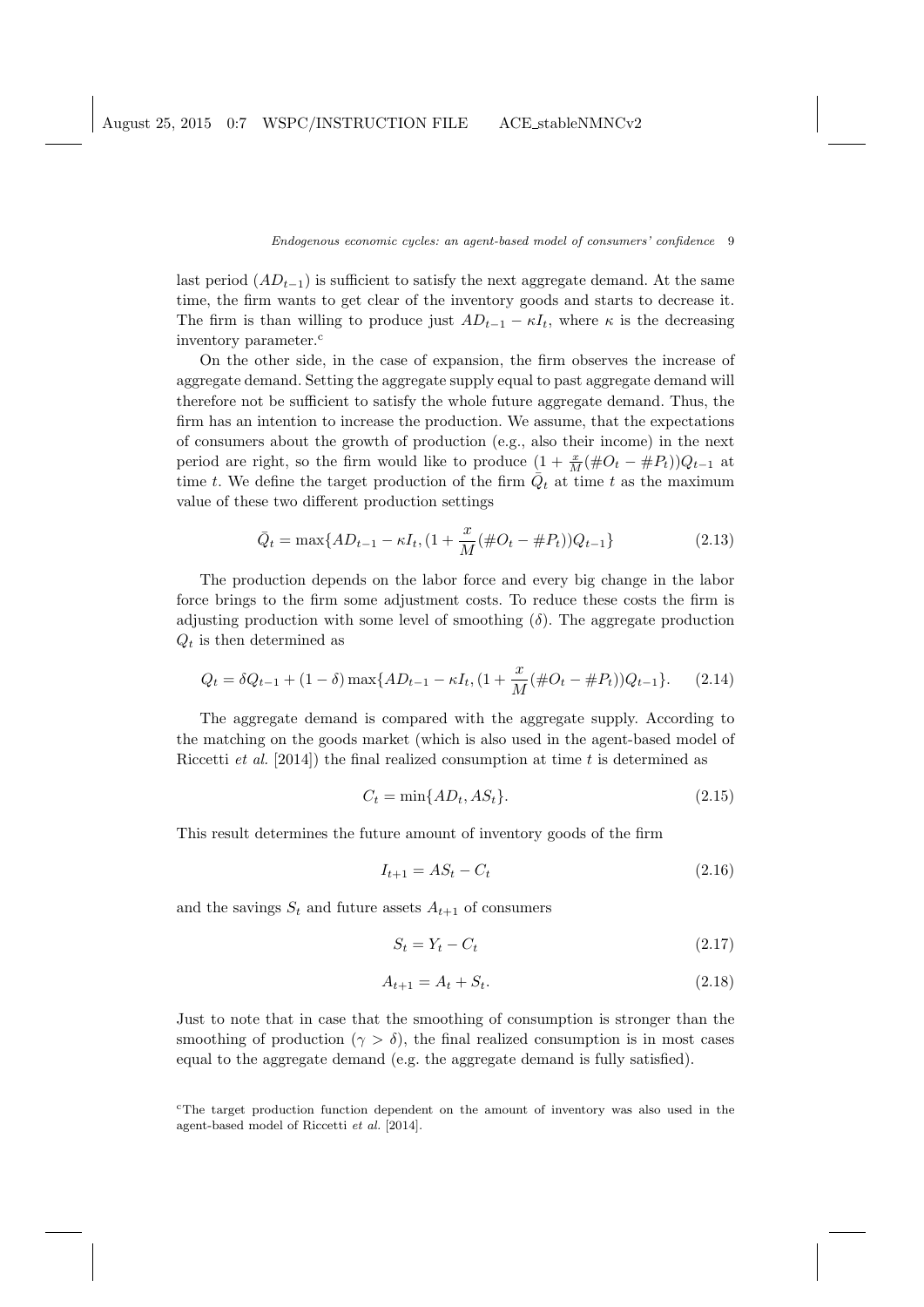last period  $(AD_{t-1})$  is sufficient to satisfy the next aggregate demand. At the same time, the firm wants to get clear of the inventory goods and starts to decrease it. The firm is than willing to produce just  $AD_{t-1} - \kappa I_t$ , where  $\kappa$  is the decreasing inventory parameter.<sup>c</sup>

On the other side, in the case of expansion, the firm observes the increase of aggregate demand. Setting the aggregate supply equal to past aggregate demand will therefore not be sufficient to satisfy the whole future aggregate demand. Thus, the firm has an intention to increase the production. We assume, that the expectations of consumers about the growth of production (e.g., also their income) in the next period are right, so the firm would like to produce  $(1 + \frac{x}{M}(\#O_t - \#P_t))Q_{t-1}$  at time t. We define the target production of the firm  $\overline{Q}_t$  at time t as the maximum value of these two different production settings

$$
\bar{Q}_t = \max\{AD_{t-1} - \kappa I_t, (1 + \frac{x}{M}(\#O_t - \#P_t))Q_{t-1}\}\tag{2.13}
$$

The production depends on the labor force and every big change in the labor force brings to the firm some adjustment costs. To reduce these costs the firm is adjusting production with some level of smoothing  $(\delta)$ . The aggregate production  $Q_t$  is then determined as

$$
Q_t = \delta Q_{t-1} + (1 - \delta) \max\{AD_{t-1} - \kappa I_t, (1 + \frac{x}{M}(\#O_t - \#P_t))Q_{t-1}\}.
$$
 (2.14)

The aggregate demand is compared with the aggregate supply. According to the matching on the goods market (which is also used in the agent-based model of Riccetti *et al.* [2014]) the final realized consumption at time t is determined as

$$
C_t = \min\{AD_t, AS_t\}.\tag{2.15}
$$

This result determines the future amount of inventory goods of the firm

$$
I_{t+1} = AS_t - C_t \tag{2.16}
$$

and the savings  $S_t$  and future assets  $A_{t+1}$  of consumers

$$
S_t = Y_t - C_t \tag{2.17}
$$

$$
A_{t+1} = A_t + S_t. \t\t(2.18)
$$

Just to note that in case that the smoothing of consumption is stronger than the smoothing of production ( $\gamma > \delta$ ), the final realized consumption is in most cases equal to the aggregate demand (e.g. the aggregate demand is fully satisfied).

<sup>c</sup>The target production function dependent on the amount of inventory was also used in the agent-based model of Riccetti et al. [2014].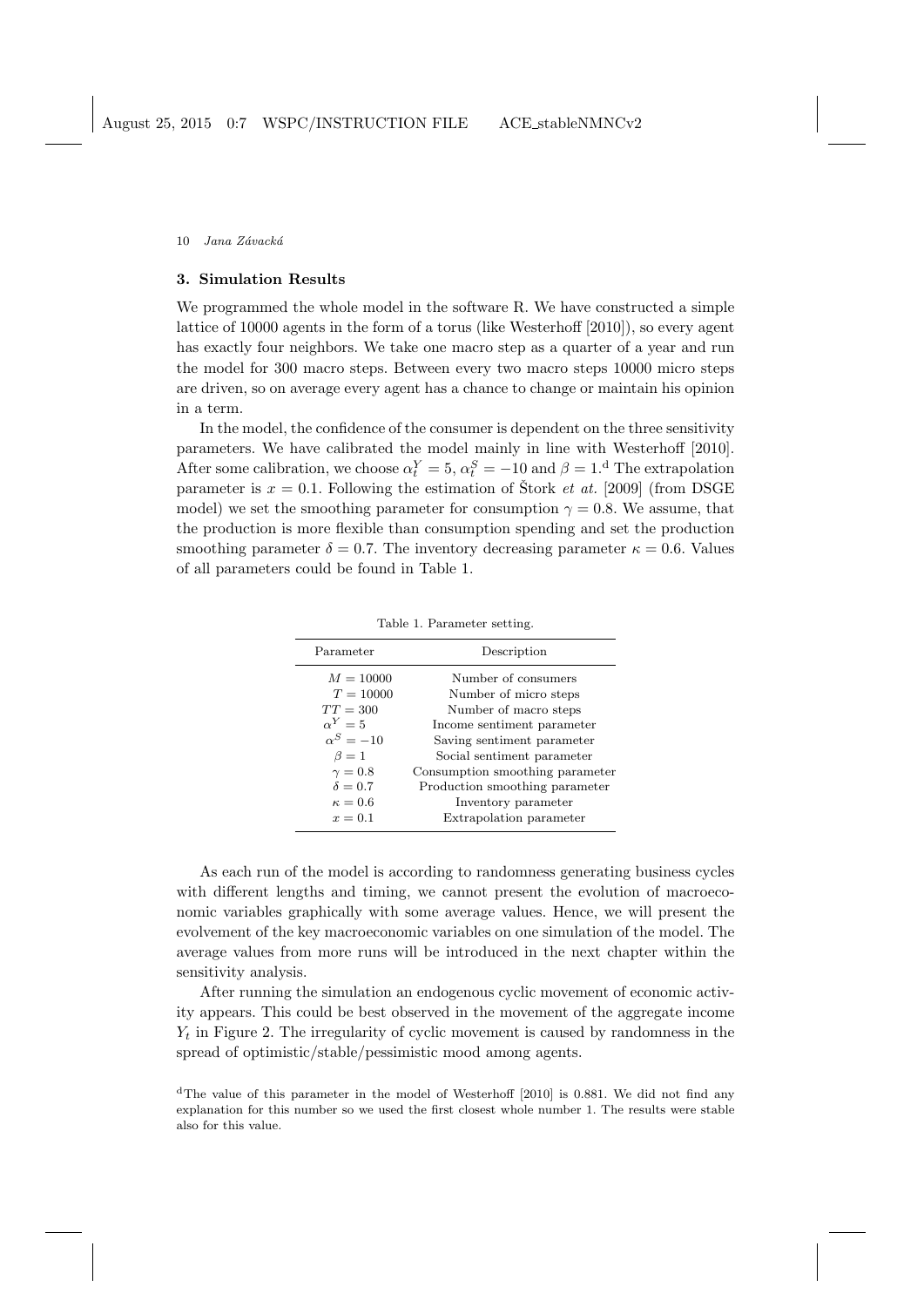# 3. Simulation Results

We programmed the whole model in the software R. We have constructed a simple lattice of 10000 agents in the form of a torus (like Westerhoff [2010]), so every agent has exactly four neighbors. We take one macro step as a quarter of a year and run the model for 300 macro steps. Between every two macro steps 10000 micro steps are driven, so on average every agent has a chance to change or maintain his opinion in a term.

In the model, the confidence of the consumer is dependent on the three sensitivity parameters. We have calibrated the model mainly in line with Westerhoff [2010]. After some calibration, we choose  $\alpha_t^Y = 5$ ,  $\alpha_t^S = -10$  and  $\beta = 1$ .<sup>d</sup> The extrapolation parameter is  $x = 0.1$ . Following the estimation of Stork *et at.* [2009] (from DSGE model) we set the smoothing parameter for consumption  $\gamma = 0.8$ . We assume, that the production is more flexible than consumption spending and set the production smoothing parameter  $\delta = 0.7$ . The inventory decreasing parameter  $\kappa = 0.6$ . Values of all parameters could be found in Table 1.

| Parameter        | Description                     |  |  |
|------------------|---------------------------------|--|--|
| $M = 10000$      | Number of consumers             |  |  |
| $T = 10000$      | Number of micro steps           |  |  |
| $TT = 300$       | Number of macro steps           |  |  |
| $\alpha^Y=5$     | Income sentiment parameter      |  |  |
| $\alpha^S = -10$ | Saving sentiment parameter      |  |  |
| $\beta=1$        | Social sentiment parameter      |  |  |
| $\gamma=0.8$     | Consumption smoothing parameter |  |  |
| $\delta = 0.7$   | Production smoothing parameter  |  |  |
| $\kappa = 0.6$   | Inventory parameter             |  |  |
| $x=0.1$          | Extrapolation parameter         |  |  |

Table 1. Parameter setting.

As each run of the model is according to randomness generating business cycles with different lengths and timing, we cannot present the evolution of macroeconomic variables graphically with some average values. Hence, we will present the evolvement of the key macroeconomic variables on one simulation of the model. The average values from more runs will be introduced in the next chapter within the sensitivity analysis.

After running the simulation an endogenous cyclic movement of economic activity appears. This could be best observed in the movement of the aggregate income  $Y_t$  in Figure 2. The irregularity of cyclic movement is caused by randomness in the spread of optimistic/stable/pessimistic mood among agents.

<sup>d</sup>The value of this parameter in the model of Westerhoff [2010] is 0.881. We did not find any explanation for this number so we used the first closest whole number 1. The results were stable also for this value.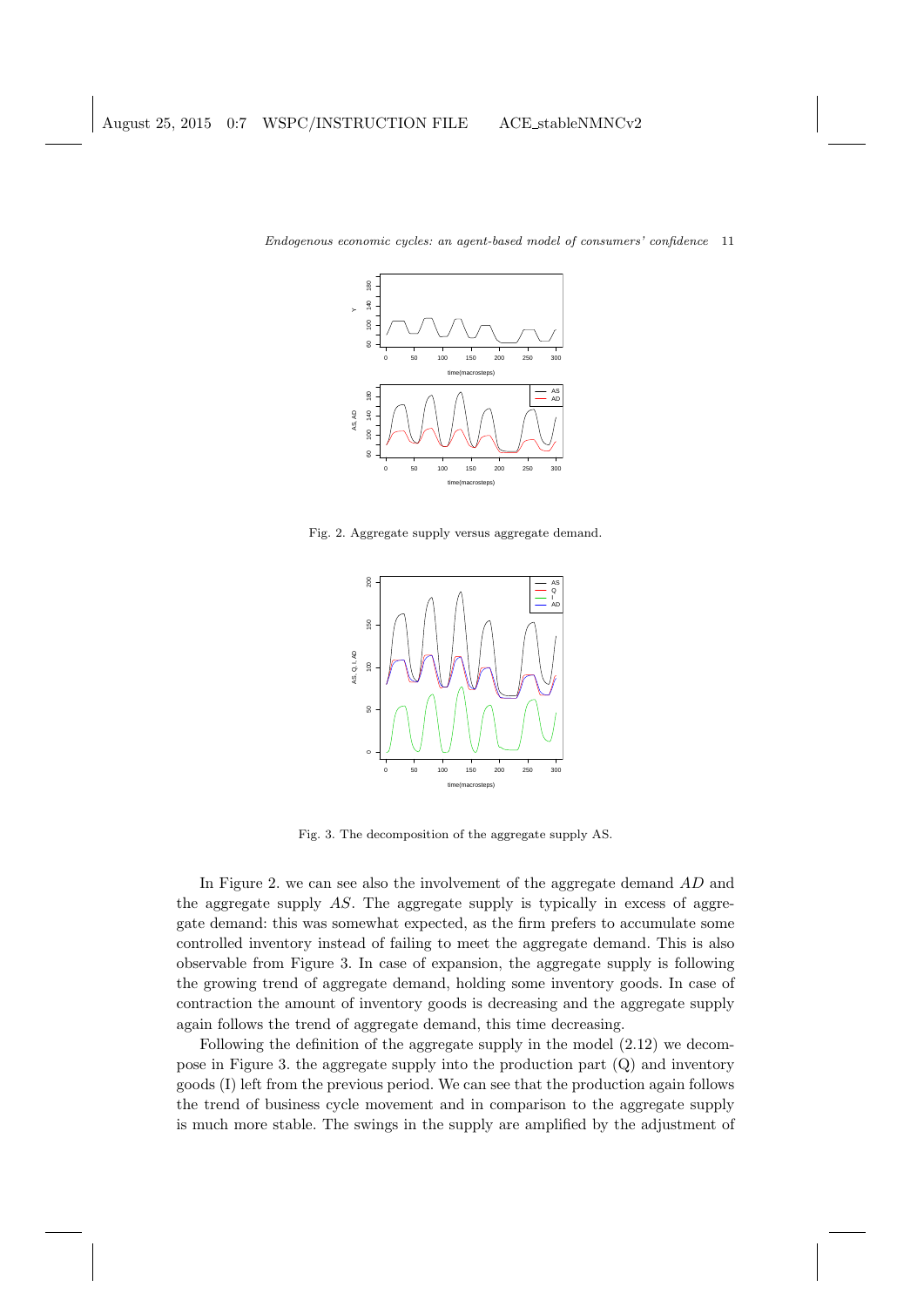

Fig. 2. Aggregate supply versus aggregate demand.



Fig. 3. The decomposition of the aggregate supply AS.

In Figure 2. we can see also the involvement of the aggregate demand AD and the aggregate supply AS. The aggregate supply is typically in excess of aggregate demand: this was somewhat expected, as the firm prefers to accumulate some controlled inventory instead of failing to meet the aggregate demand. This is also observable from Figure 3. In case of expansion, the aggregate supply is following the growing trend of aggregate demand, holding some inventory goods. In case of contraction the amount of inventory goods is decreasing and the aggregate supply again follows the trend of aggregate demand, this time decreasing.

Following the definition of the aggregate supply in the model (2.12) we decompose in Figure 3. the aggregate supply into the production part (Q) and inventory goods (I) left from the previous period. We can see that the production again follows the trend of business cycle movement and in comparison to the aggregate supply is much more stable. The swings in the supply are amplified by the adjustment of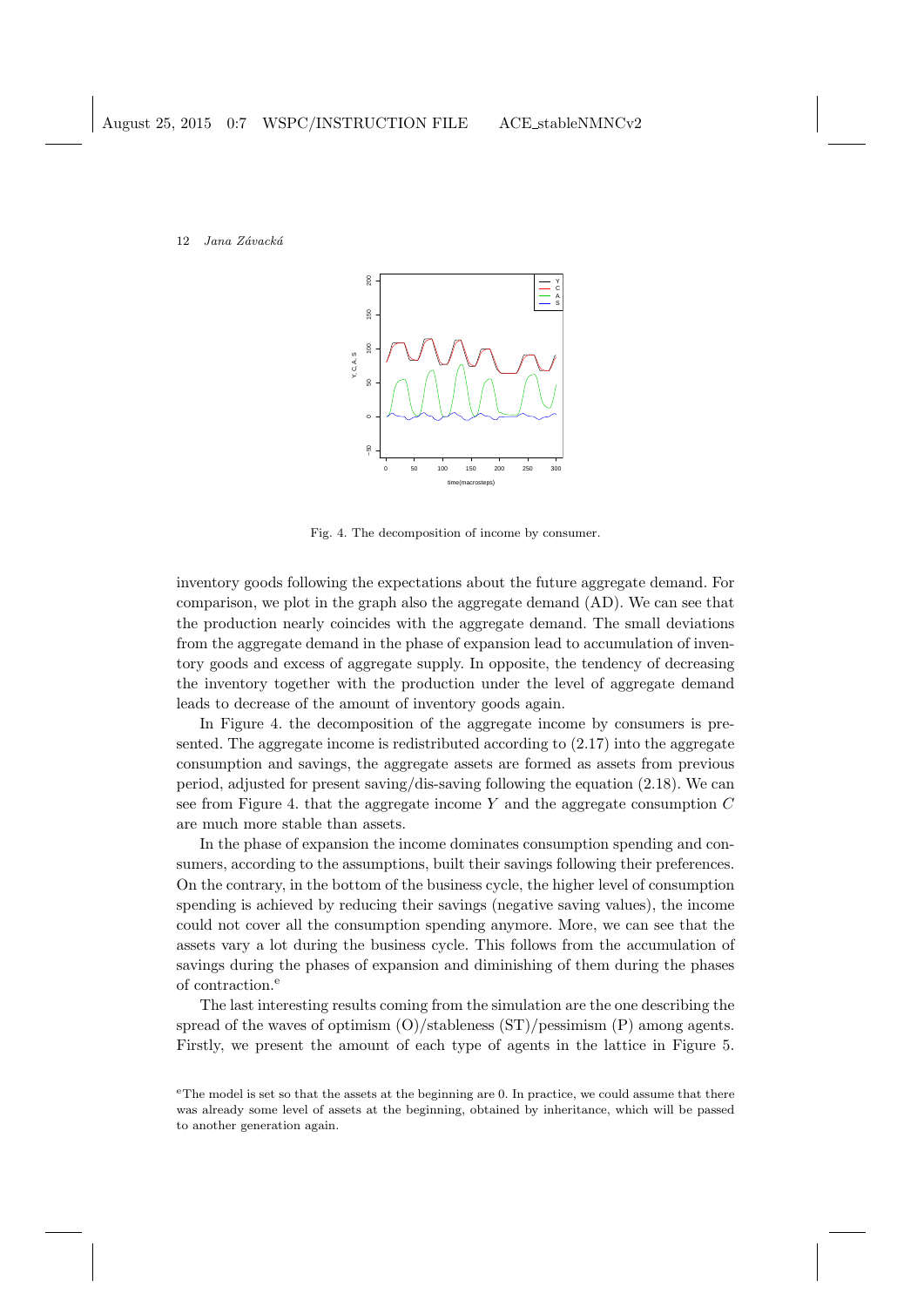

Fig. 4. The decomposition of income by consumer.

inventory goods following the expectations about the future aggregate demand. For comparison, we plot in the graph also the aggregate demand (AD). We can see that the production nearly coincides with the aggregate demand. The small deviations from the aggregate demand in the phase of expansion lead to accumulation of inventory goods and excess of aggregate supply. In opposite, the tendency of decreasing the inventory together with the production under the level of aggregate demand leads to decrease of the amount of inventory goods again.

In Figure 4. the decomposition of the aggregate income by consumers is presented. The aggregate income is redistributed according to (2.17) into the aggregate consumption and savings, the aggregate assets are formed as assets from previous period, adjusted for present saving/dis-saving following the equation (2.18). We can see from Figure 4. that the aggregate income  $Y$  and the aggregate consumption  $C$ are much more stable than assets.

In the phase of expansion the income dominates consumption spending and consumers, according to the assumptions, built their savings following their preferences. On the contrary, in the bottom of the business cycle, the higher level of consumption spending is achieved by reducing their savings (negative saving values), the income could not cover all the consumption spending anymore. More, we can see that the assets vary a lot during the business cycle. This follows from the accumulation of savings during the phases of expansion and diminishing of them during the phases of contraction. $\epsilon$ 

The last interesting results coming from the simulation are the one describing the spread of the waves of optimism (O)/stableness (ST)/pessimism (P) among agents. Firstly, we present the amount of each type of agents in the lattice in Figure 5.

<sup>e</sup>The model is set so that the assets at the beginning are 0. In practice, we could assume that there was already some level of assets at the beginning, obtained by inheritance, which will be passed to another generation again.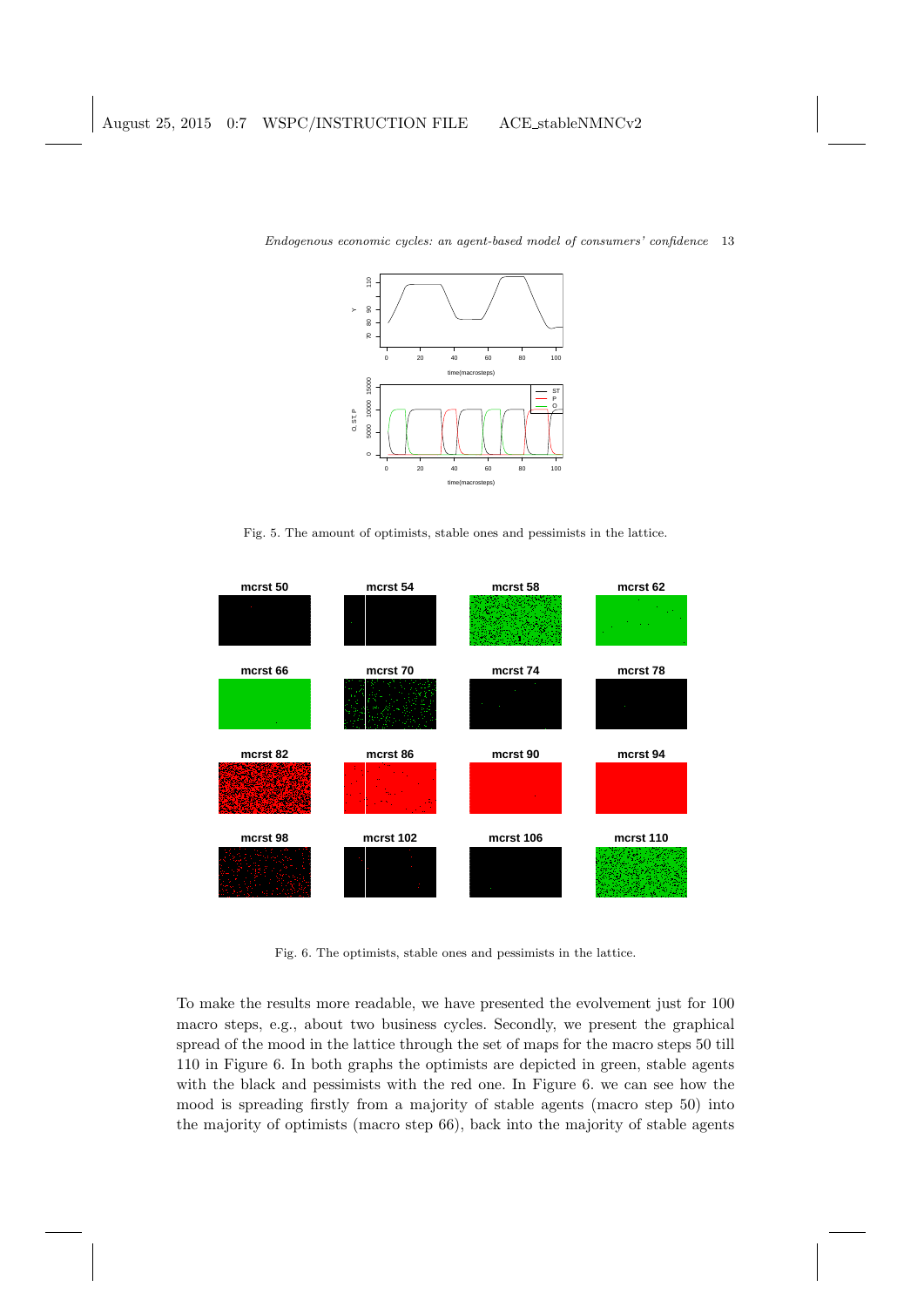

Fig. 5. The amount of optimists, stable ones and pessimists in the lattice.



Fig. 6. The optimists, stable ones and pessimists in the lattice.

To make the results more readable, we have presented the evolvement just for 100 macro steps, e.g., about two business cycles. Secondly, we present the graphical spread of the mood in the lattice through the set of maps for the macro steps 50 till 110 in Figure 6. In both graphs the optimists are depicted in green, stable agents with the black and pessimists with the red one. In Figure 6. we can see how the mood is spreading firstly from a majority of stable agents (macro step 50) into the majority of optimists (macro step 66), back into the majority of stable agents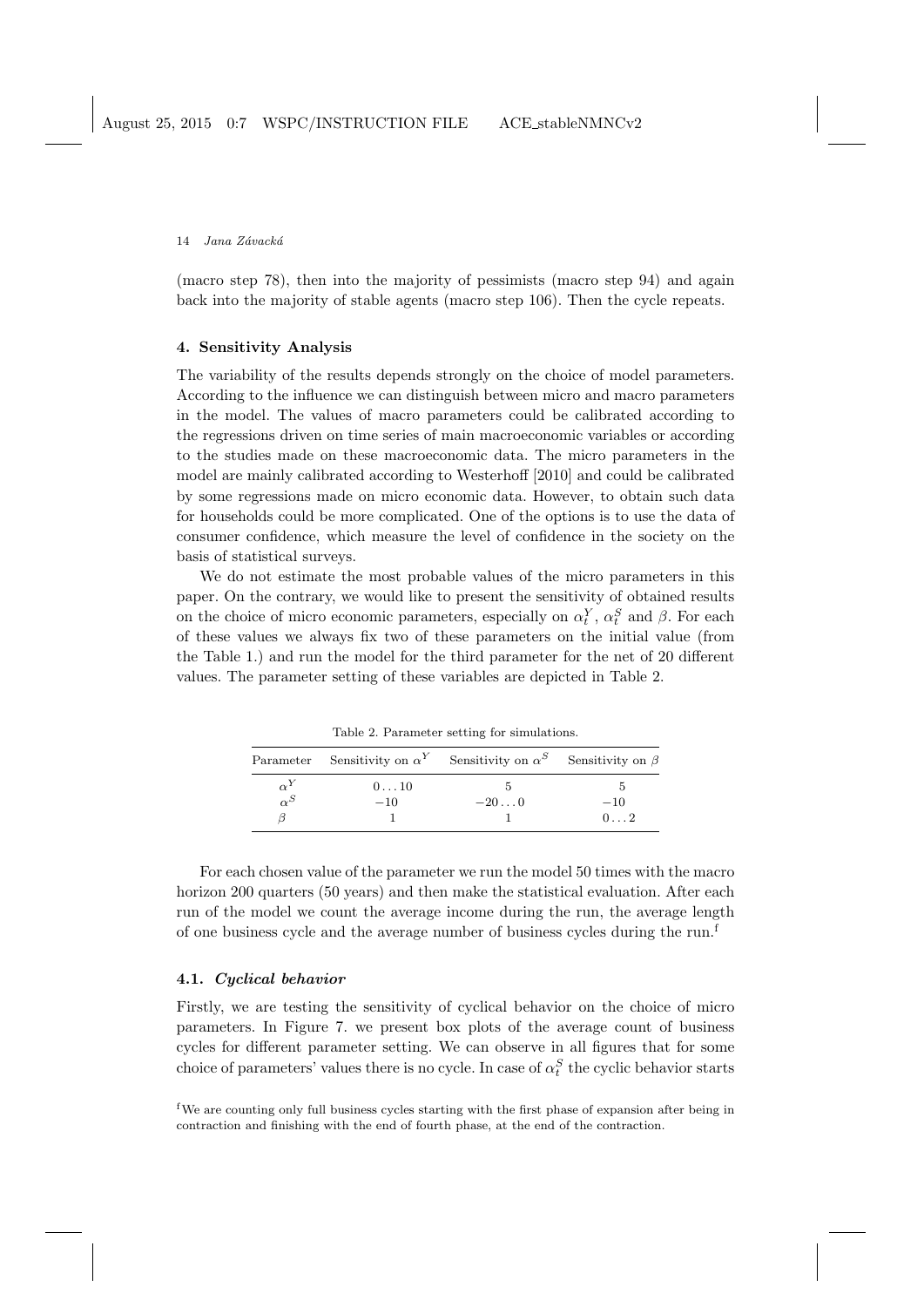(macro step 78), then into the majority of pessimists (macro step 94) and again back into the majority of stable agents (macro step 106). Then the cycle repeats.

### 4. Sensitivity Analysis

The variability of the results depends strongly on the choice of model parameters. According to the influence we can distinguish between micro and macro parameters in the model. The values of macro parameters could be calibrated according to the regressions driven on time series of main macroeconomic variables or according to the studies made on these macroeconomic data. The micro parameters in the model are mainly calibrated according to Westerhoff [2010] and could be calibrated by some regressions made on micro economic data. However, to obtain such data for households could be more complicated. One of the options is to use the data of consumer confidence, which measure the level of confidence in the society on the basis of statistical surveys.

We do not estimate the most probable values of the micro parameters in this paper. On the contrary, we would like to present the sensitivity of obtained results on the choice of micro economic parameters, especially on  $\alpha_t^Y$ ,  $\alpha_t^S$  and  $\beta$ . For each of these values we always fix two of these parameters on the initial value (from the Table 1.) and run the model for the third parameter for the net of 20 different values. The parameter setting of these variables are depicted in Table 2.

| racio en 1 aramores corring for childrenomo. |                                                                                      |        |              |  |
|----------------------------------------------|--------------------------------------------------------------------------------------|--------|--------------|--|
|                                              | Parameter Sensitivity on $\alpha^Y$ Sensitivity on $\alpha^S$ Sensitivity on $\beta$ |        |              |  |
| $\alpha^{Y}$                                 | $0 \ldots 10$                                                                        |        |              |  |
| $\alpha^{S}$                                 | $-10$                                                                                | $-200$ | $-10$        |  |
|                                              |                                                                                      |        | $0 \ldots 2$ |  |

Table 2. Parameter setting for simulations.

For each chosen value of the parameter we run the model 50 times with the macro horizon 200 quarters (50 years) and then make the statistical evaluation. After each run of the model we count the average income during the run, the average length of one business cycle and the average number of business cycles during the run.<sup>f</sup>

## 4.1. Cyclical behavior

Firstly, we are testing the sensitivity of cyclical behavior on the choice of micro parameters. In Figure 7. we present box plots of the average count of business cycles for different parameter setting. We can observe in all figures that for some choice of parameters' values there is no cycle. In case of  $\alpha_t^S$  the cyclic behavior starts

<sup>f</sup>We are counting only full business cycles starting with the first phase of expansion after being in contraction and finishing with the end of fourth phase, at the end of the contraction.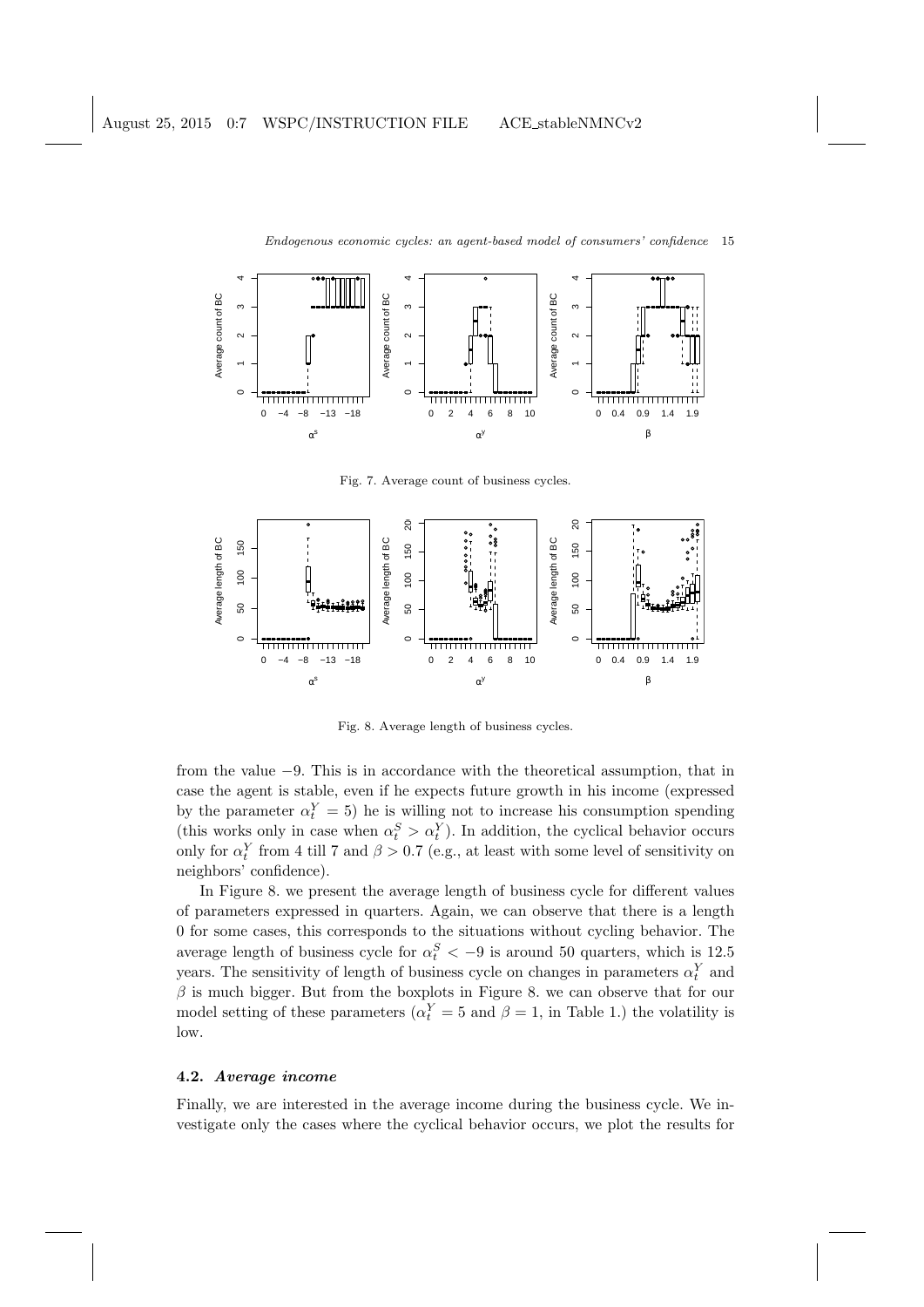

Fig. 7. Average count of business cycles.



Fig. 8. Average length of business cycles.

from the value −9. This is in accordance with the theoretical assumption, that in case the agent is stable, even if he expects future growth in his income (expressed by the parameter  $\alpha_t^Y = 5$ ) he is willing not to increase his consumption spending (this works only in case when  $\alpha_t^S > \alpha_t^Y$ ). In addition, the cyclical behavior occurs only for  $\alpha_t^Y$  from 4 till 7 and  $\beta > 0.7$  (e.g., at least with some level of sensitivity on neighbors' confidence).

In Figure 8. we present the average length of business cycle for different values of parameters expressed in quarters. Again, we can observe that there is a length 0 for some cases, this corresponds to the situations without cycling behavior. The average length of business cycle for  $\alpha_t^S < -9$  is around 50 quarters, which is 12.5 years. The sensitivity of length of business cycle on changes in parameters  $\alpha_t^Y$  and  $\beta$  is much bigger. But from the boxplots in Figure 8. we can observe that for our model setting of these parameters ( $\alpha_t^Y = 5$  and  $\beta = 1$ , in Table 1.) the volatility is low.

# 4.2. Average income

Finally, we are interested in the average income during the business cycle. We investigate only the cases where the cyclical behavior occurs, we plot the results for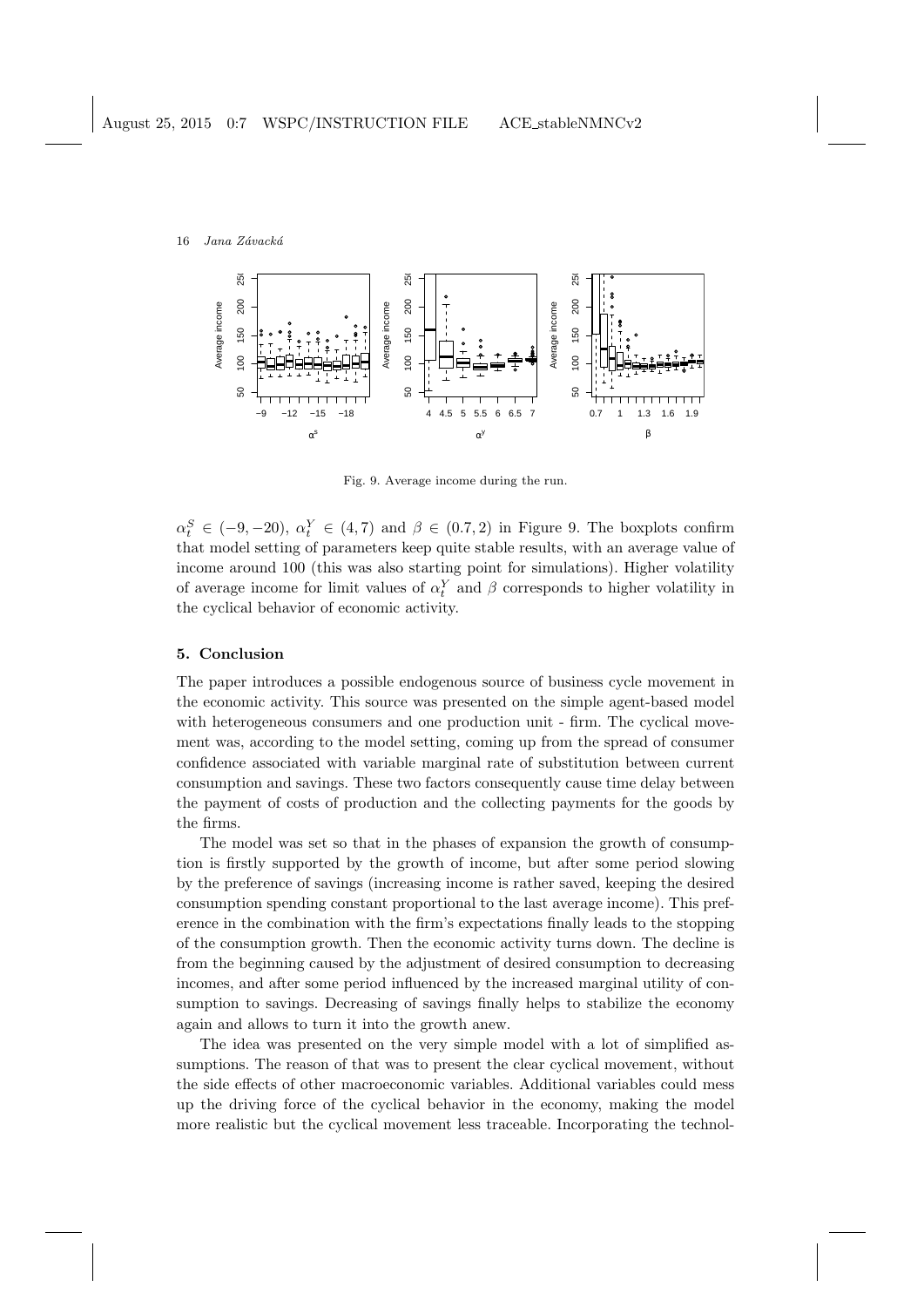

Fig. 9. Average income during the run.

 $\alpha_t^S \in (-9, -20), \alpha_t^Y \in (4, 7)$  and  $\beta \in (0.7, 2)$  in Figure 9. The boxplots confirm that model setting of parameters keep quite stable results, with an average value of income around 100 (this was also starting point for simulations). Higher volatility of average income for limit values of  $\alpha_t^Y$  and  $\beta$  corresponds to higher volatility in the cyclical behavior of economic activity.

# 5. Conclusion

The paper introduces a possible endogenous source of business cycle movement in the economic activity. This source was presented on the simple agent-based model with heterogeneous consumers and one production unit - firm. The cyclical movement was, according to the model setting, coming up from the spread of consumer confidence associated with variable marginal rate of substitution between current consumption and savings. These two factors consequently cause time delay between the payment of costs of production and the collecting payments for the goods by the firms.

The model was set so that in the phases of expansion the growth of consumption is firstly supported by the growth of income, but after some period slowing by the preference of savings (increasing income is rather saved, keeping the desired consumption spending constant proportional to the last average income). This preference in the combination with the firm's expectations finally leads to the stopping of the consumption growth. Then the economic activity turns down. The decline is from the beginning caused by the adjustment of desired consumption to decreasing incomes, and after some period influenced by the increased marginal utility of consumption to savings. Decreasing of savings finally helps to stabilize the economy again and allows to turn it into the growth anew.

The idea was presented on the very simple model with a lot of simplified assumptions. The reason of that was to present the clear cyclical movement, without the side effects of other macroeconomic variables. Additional variables could mess up the driving force of the cyclical behavior in the economy, making the model more realistic but the cyclical movement less traceable. Incorporating the technol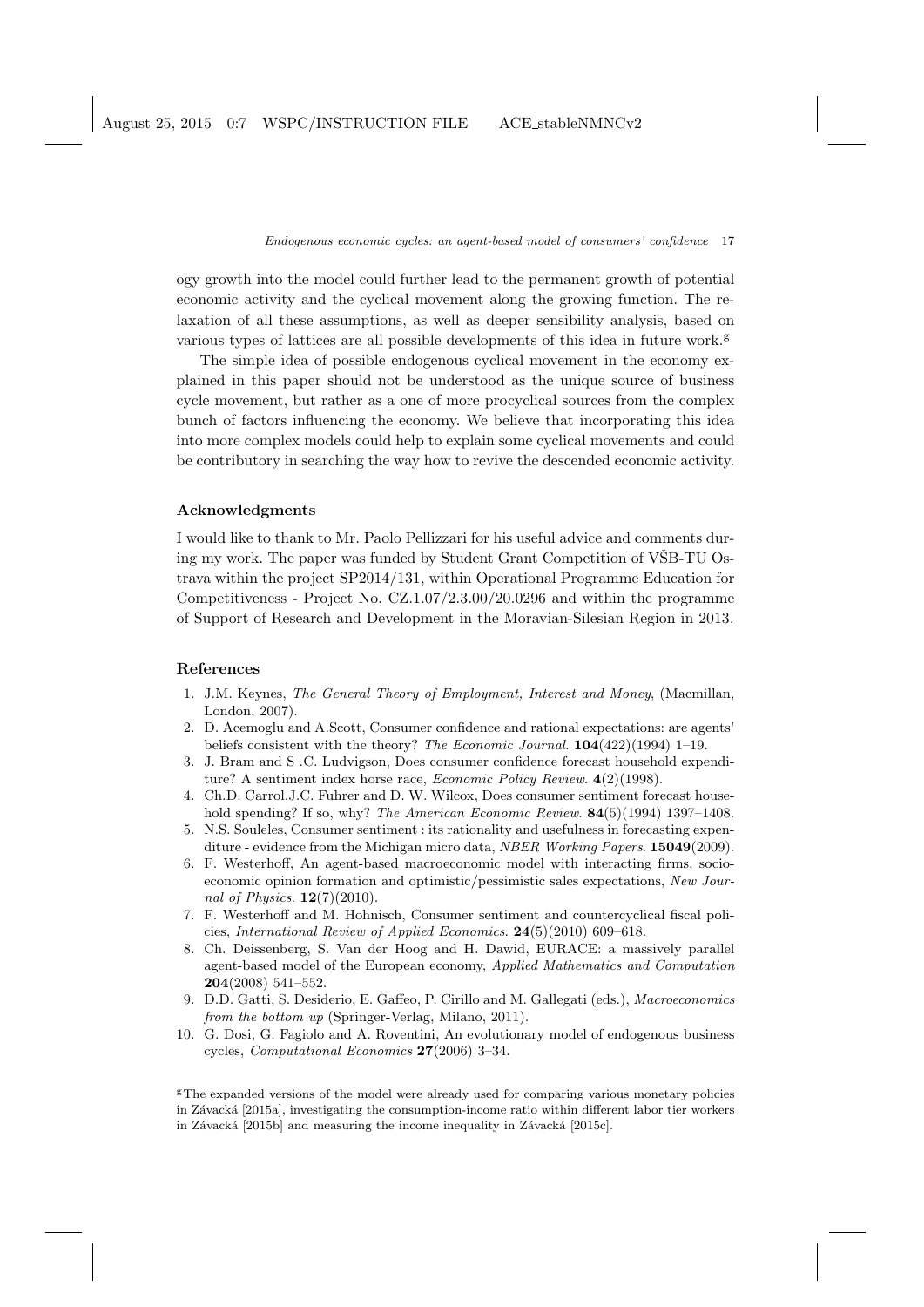August 25, 2015 0:7 WSPC/INSTRUCTION FILE ACE stableNMNCv2

Endogenous economic cycles: an agent-based model of consumers' confidence 17

ogy growth into the model could further lead to the permanent growth of potential economic activity and the cyclical movement along the growing function. The relaxation of all these assumptions, as well as deeper sensibility analysis, based on various types of lattices are all possible developments of this idea in future work.<sup>g</sup>

The simple idea of possible endogenous cyclical movement in the economy explained in this paper should not be understood as the unique source of business cycle movement, but rather as a one of more procyclical sources from the complex bunch of factors influencing the economy. We believe that incorporating this idea into more complex models could help to explain some cyclical movements and could be contributory in searching the way how to revive the descended economic activity.

## Acknowledgments

I would like to thank to Mr. Paolo Pellizzari for his useful advice and comments during my work. The paper was funded by Student Grant Competition of VSB-TU Ostrava within the project SP2014/131, within Operational Programme Education for Competitiveness - Project No. CZ.1.07/2.3.00/20.0296 and within the programme of Support of Research and Development in the Moravian-Silesian Region in 2013.

### References

- 1. J.M. Keynes, The General Theory of Employment, Interest and Money, (Macmillan, London, 2007).
- 2. D. Acemoglu and A.Scott, Consumer confidence and rational expectations: are agents' beliefs consistent with the theory? The Economic Journal.  $104(422)(1994)$  1–19.
- 3. J. Bram and S .C. Ludvigson, Does consumer confidence forecast household expenditure? A sentiment index horse race, *Economic Policy Review.* 4(2)(1998).
- 4. Ch.D. Carrol,J.C. Fuhrer and D. W. Wilcox, Does consumer sentiment forecast household spending? If so, why? The American Economic Review. **84**(5)(1994) 1397–1408.
- 5. N.S. Souleles, Consumer sentiment : its rationality and usefulness in forecasting expenditure - evidence from the Michigan micro data, *NBER Working Papers*. **15049**(2009).
- 6. F. Westerhoff, An agent-based macroeconomic model with interacting firms, socioeconomic opinion formation and optimistic/pessimistic sales expectations, New Journal of Physics. 12(7)(2010).
- 7. F. Westerhoff and M. Hohnisch, Consumer sentiment and countercyclical fiscal policies, International Review of Applied Economics. 24(5)(2010) 609–618.
- 8. Ch. Deissenberg, S. Van der Hoog and H. Dawid, EURACE: a massively parallel agent-based model of the European economy, Applied Mathematics and Computation 204(2008) 541–552.
- 9. D.D. Gatti, S. Desiderio, E. Gaffeo, P. Cirillo and M. Gallegati (eds.), Macroeconomics from the bottom up (Springer-Verlag, Milano, 2011).
- 10. G. Dosi, G. Fagiolo and A. Roventini, An evolutionary model of endogenous business cycles, Computational Economics 27(2006) 3–34.

<sup>g</sup>The expanded versions of the model were already used for comparing various monetary policies in Závacká [2015a], investigating the consumption-income ratio within different labor tier workers in Závacká [2015b] and measuring the income inequality in Závacká [2015c].